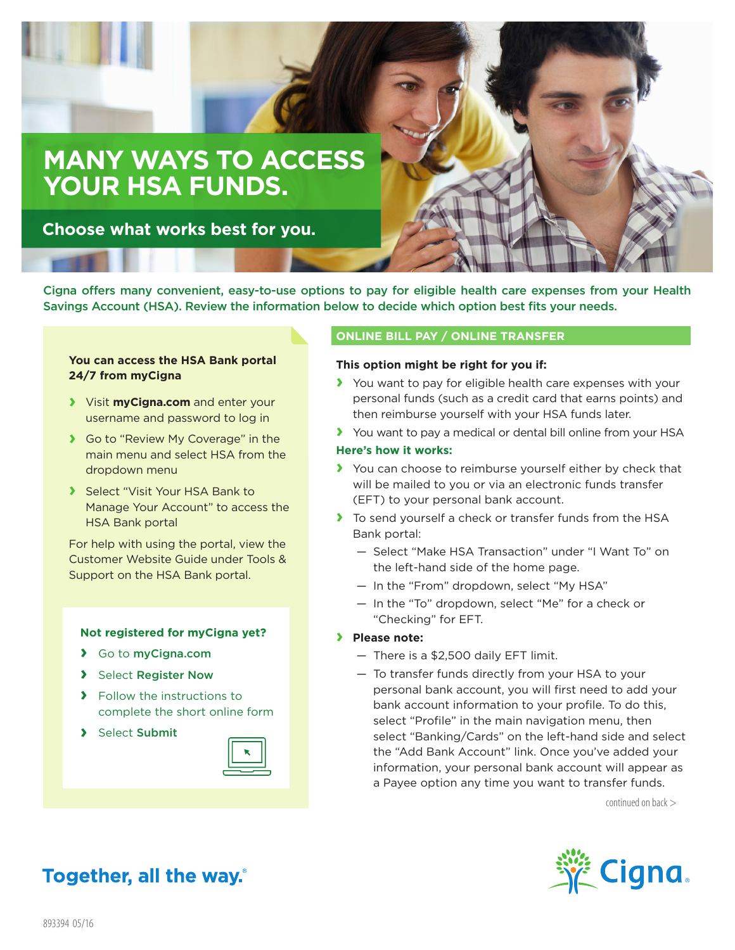# **MANY WAYS TO ACCESS YOUR HSA FUNDS.**

**Choose what works best for you.**

Cigna offers many convenient, easy-to-use options to pay for eligible health care expenses from your Health Savings Account (HSA). Review the information below to decide which option best fits your needs.

# **You can access the HSA Bank portal 24/7 from myCigna**

- **›** Visit **myCigna.com** and enter your username and password to log in
- **›** Go to "Review My Coverage" in the main menu and select HSA from the dropdown menu
- **›** Select "Visit Your HSA Bank to Manage Your Account" to access the HSA Bank portal

For help with using the portal, view the Customer Website Guide under Tools & Support on the HSA Bank portal.

# **Not registered for myCigna yet?**

- **›** Go to myCigna.com
- **›** Select Register Now
- **›** Follow the instructions to complete the short online form
- **›** Select Submit



# **ONLINE BILL PAY / ONLINE TRANSFER**

#### **This option might be right for you if:**

- **›** You want to pay for eligible health care expenses with your personal funds (such as a credit card that earns points) and then reimburse yourself with your HSA funds later.
- **›** You want to pay a medical or dental bill online from your HSA **Here's how it works:**

# **›** You can choose to reimburse yourself either by check that will be mailed to you or via an electronic funds transfer (EFT) to your personal bank account.

- **›** To send yourself a check or transfer funds from the HSA Bank portal:
	- Select "Make HSA Transaction" under "I Want To" on the left-hand side of the home page.
	- In the "From" dropdown, select "My HSA"
	- In the "To" dropdown, select "Me" for a check or "Checking" for EFT.
- **› Please note:**
	- There is a \$2,500 daily EFT limit.
	- To transfer funds directly from your HSA to your personal bank account, you will first need to add your bank account information to your profile. To do this, select "Profile" in the main navigation menu, then select "Banking/Cards" on the left-hand side and select the "Add Bank Account" link. Once you've added your information, your personal bank account will appear as a Payee option any time you want to transfer funds.

continued on back >



# **Together, all the way.**